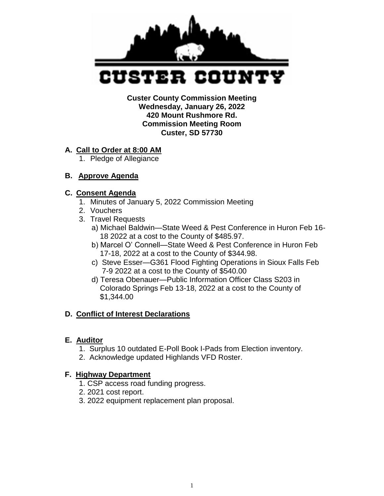

 **Custer County Commission Meeting Wednesday, January 26, 2022 420 Mount Rushmore Rd. Commission Meeting Room Custer, SD 57730** 

#### **A. Call to Order at 8:00 AM**

1. Pledge of Allegiance

### **B. Approve Agenda**

#### **C. Consent Agenda**

- 1. Minutes of January 5, 2022 Commission Meeting
- 2. Vouchers
- 3. Travel Requests
	- a) Michael Baldwin—State Weed & Pest Conference in Huron Feb 16- 18 2022 at a cost to the County of \$485.97.
	- b) Marcel O' Connell—State Weed & Pest Conference in Huron Feb 17-18, 2022 at a cost to the County of \$344.98.
	- c) Steve Esser—G361 Flood Fighting Operations in Sioux Falls Feb 7-9 2022 at a cost to the County of \$540.00
	- d) Teresa Obenauer—Public Information Officer Class S203 in Colorado Springs Feb 13-18, 2022 at a cost to the County of \$1,344.00

### **D. Conflict of Interest Declarations**

#### **E. Auditor**

- 1. Surplus 10 outdated E-Poll Book I-Pads from Election inventory.
- 2. Acknowledge updated Highlands VFD Roster.

### **F. Highway Department**

- 1. CSP access road funding progress.
- 2. 2021 cost report.
- 3. 2022 equipment replacement plan proposal.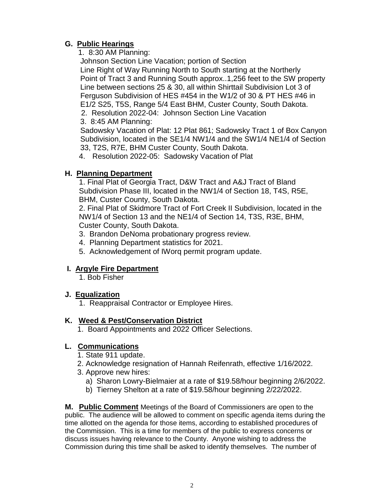# **G. Public Hearings**

1. 8:30 AM Planning:

 Johnson Section Line Vacation; portion of Section Line Right of Way Running North to South starting at the Northerly Point of Tract 3 and Running South approx..1,256 feet to the SW property Line between sections 25 & 30, all within Shirttail Subdivision Lot 3 of Ferguson Subdivision of HES #454 in the W1/2 of 30 & PT HES #46 in E1/2 S25, T5S, Range 5/4 East BHM, Custer County, South Dakota.

2. Resolution 2022-04: Johnson Section Line Vacation

3. 8:45 AM Planning:

 Sadowsky Vacation of Plat: 12 Plat 861; Sadowsky Tract 1 of Box Canyon Subdivision, located in the SE1/4 NW1/4 and the SW1/4 NE1/4 of Section 33, T2S, R7E, BHM Custer County, South Dakota.

4. Resolution 2022-05: Sadowsky Vacation of Plat

# **H. Planning Department**

1. Final Plat of Georgia Tract, D&W Tract and A&J Tract of Bland Subdivision Phase III, located in the NW1/4 of Section 18, T4S, R5E, BHM, Custer County, South Dakota.

2. Final Plat of Skidmore Tract of Fort Creek II Subdivision, located in the NW1/4 of Section 13 and the NE1/4 of Section 14, T3S, R3E, BHM, Custer County, South Dakota.

- 3. Brandon DeNoma probationary progress review.
- 4. Planning Department statistics for 2021.
- 5. Acknowledgement of IWorq permit program update.

# **I. Argyle Fire Department**

1. Bob Fisher

### **J. Equalization**

1. Reappraisal Contractor or Employee Hires.

### **K. Weed & Pest/Conservation District**

1. Board Appointments and 2022 Officer Selections.

### **L. Communications**

- 1. State 911 update.
- 2. Acknowledge resignation of Hannah Reifenrath, effective 1/16/2022.
- 3. Approve new hires:
	- a) Sharon Lowry-Bielmaier at a rate of \$19.58/hour beginning 2/6/2022.
	- b) Tierney Shelton at a rate of \$19.58/hour beginning 2/22/2022.

**M. Public Comment** Meetings of the Board of Commissioners are open to the public. The audience will be allowed to comment on specific agenda items during the time allotted on the agenda for those items, according to established procedures of the Commission. This is a time for members of the public to express concerns or discuss issues having relevance to the County. Anyone wishing to address the Commission during this time shall be asked to identify themselves. The number of